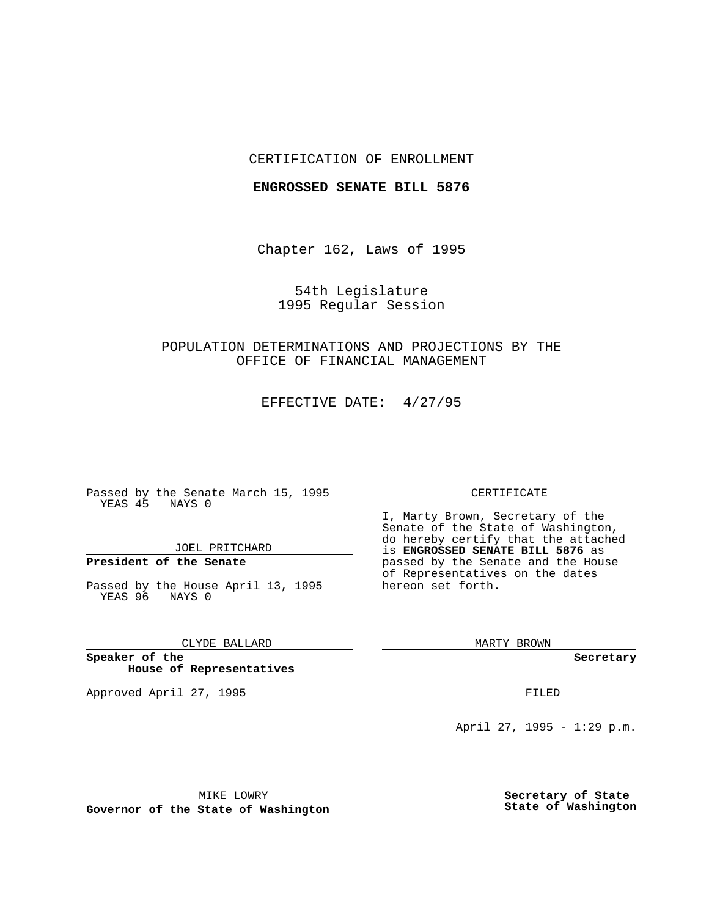#### CERTIFICATION OF ENROLLMENT

#### **ENGROSSED SENATE BILL 5876**

Chapter 162, Laws of 1995

54th Legislature 1995 Regular Session

# POPULATION DETERMINATIONS AND PROJECTIONS BY THE OFFICE OF FINANCIAL MANAGEMENT

EFFECTIVE DATE: 4/27/95

Passed by the Senate March 15, 1995 YEAS 45 NAYS 0

JOEL PRITCHARD

## **President of the Senate**

Passed by the House April 13, 1995 YEAS 96 NAYS 0

CLYDE BALLARD

**Speaker of the House of Representatives**

Approved April 27, 1995 FILED

#### CERTIFICATE

I, Marty Brown, Secretary of the Senate of the State of Washington, do hereby certify that the attached is **ENGROSSED SENATE BILL 5876** as passed by the Senate and the House of Representatives on the dates hereon set forth.

MARTY BROWN

**Secretary**

April 27, 1995 - 1:29 p.m.

MIKE LOWRY

**Governor of the State of Washington**

**Secretary of State State of Washington**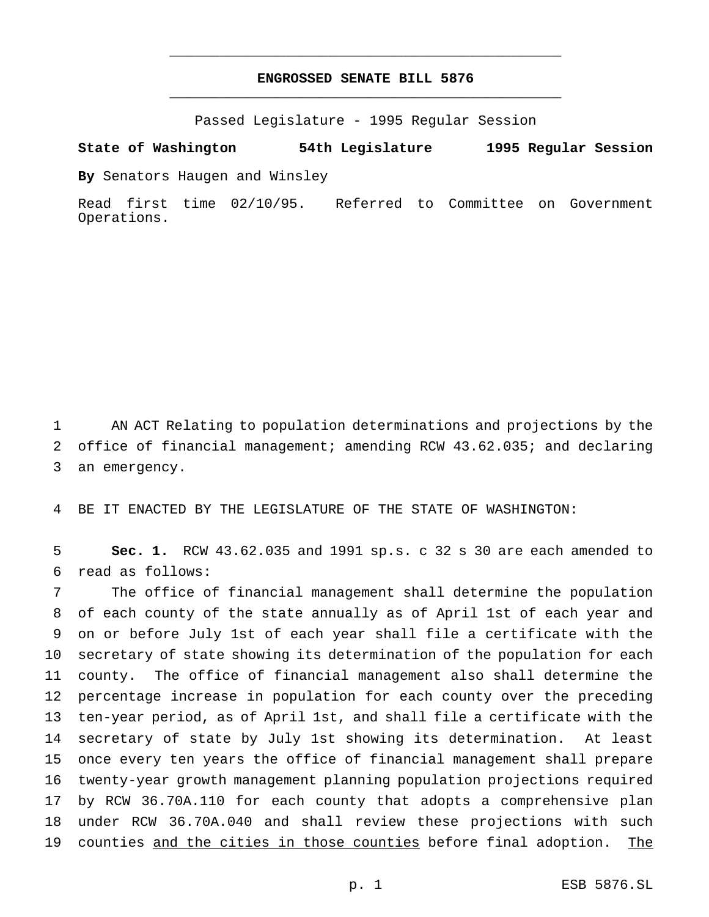### **ENGROSSED SENATE BILL 5876** \_\_\_\_\_\_\_\_\_\_\_\_\_\_\_\_\_\_\_\_\_\_\_\_\_\_\_\_\_\_\_\_\_\_\_\_\_\_\_\_\_\_\_\_\_\_\_

\_\_\_\_\_\_\_\_\_\_\_\_\_\_\_\_\_\_\_\_\_\_\_\_\_\_\_\_\_\_\_\_\_\_\_\_\_\_\_\_\_\_\_\_\_\_\_

Passed Legislature - 1995 Regular Session

**State of Washington 54th Legislature 1995 Regular Session**

**By** Senators Haugen and Winsley

Read first time 02/10/95. Referred to Committee on Government Operations.

 AN ACT Relating to population determinations and projections by the office of financial management; amending RCW 43.62.035; and declaring an emergency.

BE IT ENACTED BY THE LEGISLATURE OF THE STATE OF WASHINGTON:

 **Sec. 1.** RCW 43.62.035 and 1991 sp.s. c 32 s 30 are each amended to read as follows:

 The office of financial management shall determine the population of each county of the state annually as of April 1st of each year and on or before July 1st of each year shall file a certificate with the secretary of state showing its determination of the population for each county. The office of financial management also shall determine the percentage increase in population for each county over the preceding ten-year period, as of April 1st, and shall file a certificate with the secretary of state by July 1st showing its determination. At least once every ten years the office of financial management shall prepare twenty-year growth management planning population projections required by RCW 36.70A.110 for each county that adopts a comprehensive plan under RCW 36.70A.040 and shall review these projections with such 19 counties and the cities in those counties before final adoption. The